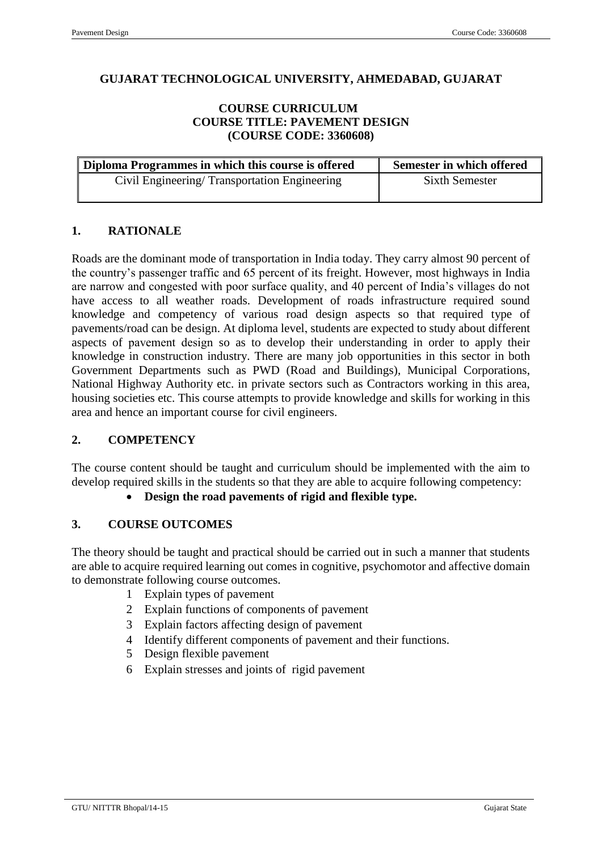## **GUJARAT TECHNOLOGICAL UNIVERSITY, AHMEDABAD, GUJARAT**

#### **COURSE CURRICULUM COURSE TITLE: PAVEMENT DESIGN (COURSE CODE: 3360608)**

| Diploma Programmes in which this course is offered | Semester in which offered |  |  |
|----------------------------------------------------|---------------------------|--|--|
| Civil Engineering/Transportation Engineering       | Sixth Semester            |  |  |

## **1. RATIONALE**

Roads are the dominant mode of transportation in India today. They carry almost 90 percent of the country's passenger traffic and 65 percent of its freight. However, most highways in India are narrow and congested with poor surface quality, and 40 percent of India's villages do not have access to all weather roads. Development of roads infrastructure required sound knowledge and competency of various road design aspects so that required type of pavements/road can be design. At diploma level, students are expected to study about different aspects of pavement design so as to develop their understanding in order to apply their knowledge in construction industry. There are many job opportunities in this sector in both Government Departments such as PWD (Road and Buildings), Municipal Corporations, National Highway Authority etc. in private sectors such as Contractors working in this area, housing societies etc. This course attempts to provide knowledge and skills for working in this area and hence an important course for civil engineers.

## **2. COMPETENCY**

The course content should be taught and curriculum should be implemented with the aim to develop required skills in the students so that they are able to acquire following competency:

### **Design the road pavements of rigid and flexible type.**

#### **3. COURSE OUTCOMES**

The theory should be taught and practical should be carried out in such a manner that students are able to acquire required learning out comes in cognitive, psychomotor and affective domain to demonstrate following course outcomes.

- 1 Explain types of pavement
- 2 Explain functions of components of pavement
- 3 Explain factors affecting design of pavement
- 4 Identify different components of pavement and their functions.
- 5 Design flexible pavement
- 6 Explain stresses and joints of rigid pavement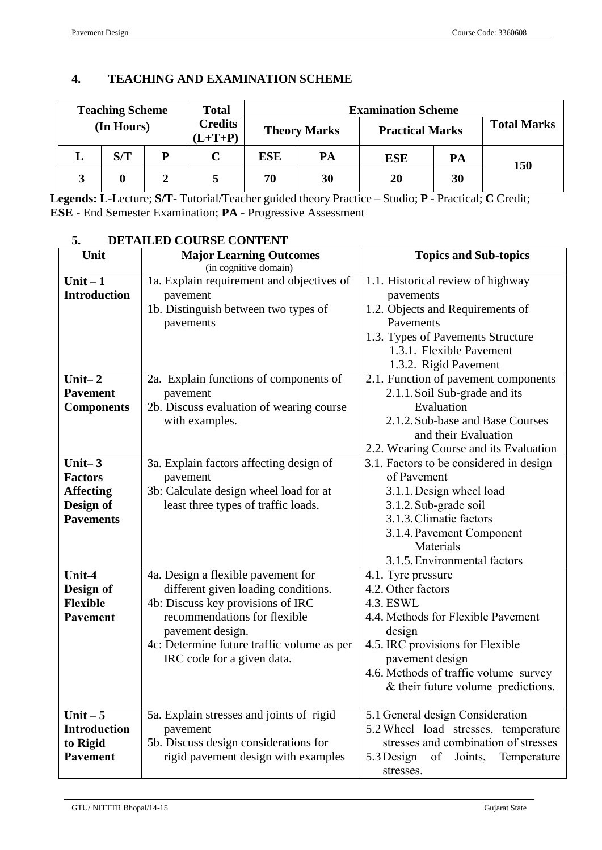# **4. TEACHING AND EXAMINATION SCHEME**

|   | <b>Teaching Scheme</b> |   | <b>Total</b>                | <b>Examination Scheme</b> |    |                        |    |                    |
|---|------------------------|---|-----------------------------|---------------------------|----|------------------------|----|--------------------|
|   | (In Hours)             |   | <b>Credits</b><br>$(L+T+P)$ | <b>Theory Marks</b>       |    | <b>Practical Marks</b> |    | <b>Total Marks</b> |
| ⊥ | S/T                    | D | C                           | <b>ESE</b>                | PA | <b>ESE</b>             | PA | 150                |
| 3 |                        |   |                             | 70                        | 30 | <b>20</b>              | 30 |                    |

**Legends: L**-Lecture; **S/T-** Tutorial/Teacher guided theory Practice – Studio; **P** - Practical; **C** Credit; **ESE** - End Semester Examination; **PA** - Progressive Assessment

| ↩.<br>Unit                                                                       | ретанер соомое совтем                                                                                                                                                                                                                          |                                                                                                                                                                                                                                             |  |  |
|----------------------------------------------------------------------------------|------------------------------------------------------------------------------------------------------------------------------------------------------------------------------------------------------------------------------------------------|---------------------------------------------------------------------------------------------------------------------------------------------------------------------------------------------------------------------------------------------|--|--|
|                                                                                  | <b>Major Learning Outcomes</b><br>(in cognitive domain)                                                                                                                                                                                        | <b>Topics and Sub-topics</b>                                                                                                                                                                                                                |  |  |
| Unit $-1$<br><b>Introduction</b>                                                 | 1a. Explain requirement and objectives of<br>pavement<br>1b. Distinguish between two types of<br>pavements                                                                                                                                     | 1.1. Historical review of highway<br>pavements<br>1.2. Objects and Requirements of<br>Pavements<br>1.3. Types of Pavements Structure<br>1.3.1. Flexible Pavement<br>1.3.2. Rigid Pavement                                                   |  |  |
| Unit $-2$<br><b>Pavement</b>                                                     | 2a. Explain functions of components of<br>pavement                                                                                                                                                                                             | 2.1. Function of pavement components<br>2.1.1. Soil Sub-grade and its                                                                                                                                                                       |  |  |
| <b>Components</b>                                                                | 2b. Discuss evaluation of wearing course<br>with examples.                                                                                                                                                                                     | Evaluation<br>2.1.2. Sub-base and Base Courses<br>and their Evaluation<br>2.2. Wearing Course and its Evaluation                                                                                                                            |  |  |
| Unit $-3$<br><b>Factors</b><br><b>Affecting</b><br>Design of<br><b>Pavements</b> | 3a. Explain factors affecting design of<br>pavement<br>3b: Calculate design wheel load for at<br>least three types of traffic loads.                                                                                                           | 3.1. Factors to be considered in design<br>of Pavement<br>3.1.1. Design wheel load<br>3.1.2. Sub-grade soil<br>3.1.3. Climatic factors<br>3.1.4. Pavement Component<br>Materials<br>3.1.5. Environmental factors                            |  |  |
| Unit-4<br>Design of<br><b>Flexible</b><br><b>Pavement</b>                        | 4a. Design a flexible pavement for<br>different given loading conditions.<br>4b: Discuss key provisions of IRC<br>recommendations for flexible<br>pavement design.<br>4c: Determine future traffic volume as per<br>IRC code for a given data. | 4.1. Tyre pressure<br>4.2. Other factors<br>4.3. ESWL<br>4.4. Methods for Flexible Pavement<br>design<br>4.5. IRC provisions for Flexible<br>pavement design<br>4.6. Methods of traffic volume survey<br>& their future volume predictions. |  |  |
| Unit $-5$<br><b>Introduction</b><br>to Rigid<br><b>Pavement</b>                  | 5a. Explain stresses and joints of rigid<br>pavement<br>5b. Discuss design considerations for<br>rigid pavement design with examples                                                                                                           | 5.1 General design Consideration<br>5.2 Wheel load stresses, temperature<br>stresses and combination of stresses<br>of Joints,<br>5.3 Design<br>Temperature<br>stresses.                                                                    |  |  |

# **5. DETAILED COURSE CONTENT**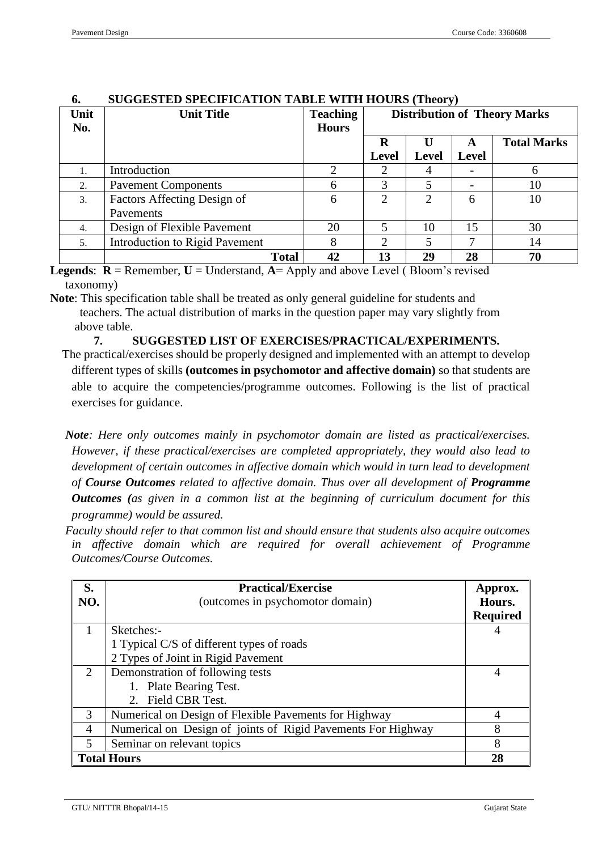| Unit<br>No. | <b>Unit Title</b>                        | <b>Teaching</b><br><b>Hours</b> | bootboled be ecilitation table with hours (theory)<br><b>Distribution of Theory Marks</b> |                |              |                    |
|-------------|------------------------------------------|---------------------------------|-------------------------------------------------------------------------------------------|----------------|--------------|--------------------|
|             |                                          |                                 | R<br>Level                                                                                | <b>Level</b>   | <b>Level</b> | <b>Total Marks</b> |
| 1.          | Introduction                             |                                 |                                                                                           |                |              | 6                  |
| 2.          | <b>Pavement Components</b>               | 6                               | 3                                                                                         |                |              | 10                 |
| 3.          | Factors Affecting Design of<br>Pavements | 6                               | ∍                                                                                         | $\mathfrak{D}$ | 6            | 10                 |
| 4.          | Design of Flexible Pavement              | 20                              |                                                                                           | 10             | 15           | 30                 |
| 5.          | Introduction to Rigid Pavement           |                                 |                                                                                           |                |              | 14                 |
|             | <b>Total</b>                             | 42                              | 13                                                                                        | 29             | 28           | 70                 |

#### **6. SUGGESTED SPECIFICATION TABLE WITH HOURS (Theory)**

**Legends:**  $\mathbf{R} =$  Remember,  $\mathbf{U} =$  Understand,  $\mathbf{A} =$  Apply and above Level (Bloom's revised) taxonomy)

**Note**: This specification table shall be treated as only general guideline for students and teachers. The actual distribution of marks in the question paper may vary slightly from above table.

**7. SUGGESTED LIST OF EXERCISES/PRACTICAL/EXPERIMENTS.**

- The practical/exercises should be properly designed and implemented with an attempt to develop different types of skills **(outcomes in psychomotor and affective domain)** so that students are able to acquire the competencies/programme outcomes. Following is the list of practical exercises for guidance.
- *Note: Here only outcomes mainly in psychomotor domain are listed as practical/exercises. However, if these practical/exercises are completed appropriately, they would also lead to development of certain outcomes in affective domain which would in turn lead to development of Course Outcomes related to affective domain. Thus over all development of Programme Outcomes (as given in a common list at the beginning of curriculum document for this programme) would be assured.*
- *Faculty should refer to that common list and should ensure that students also acquire outcomes in affective domain which are required for overall achievement of Programme Outcomes/Course Outcomes.*

| S.<br>NO.                | <b>Practical/Exercise</b><br>(outcomes in psychomotor domain) |                           |  |
|--------------------------|---------------------------------------------------------------|---------------------------|--|
|                          |                                                               | Hours.<br><b>Required</b> |  |
|                          | Sketches:-                                                    |                           |  |
|                          | 1 Typical C/S of different types of roads                     |                           |  |
|                          | 2 Types of Joint in Rigid Pavement                            |                           |  |
| 2                        | Demonstration of following tests                              |                           |  |
|                          | 1. Plate Bearing Test.                                        |                           |  |
|                          | Field CBR Test.                                               |                           |  |
| $\mathcal{R}$            | Numerical on Design of Flexible Pavements for Highway         |                           |  |
| $\overline{A}$           | Numerical on Design of joints of Rigid Pavements For Highway  | 8                         |  |
| $\overline{\mathcal{L}}$ | Seminar on relevant topics                                    |                           |  |
| <b>Total Hours</b>       |                                                               |                           |  |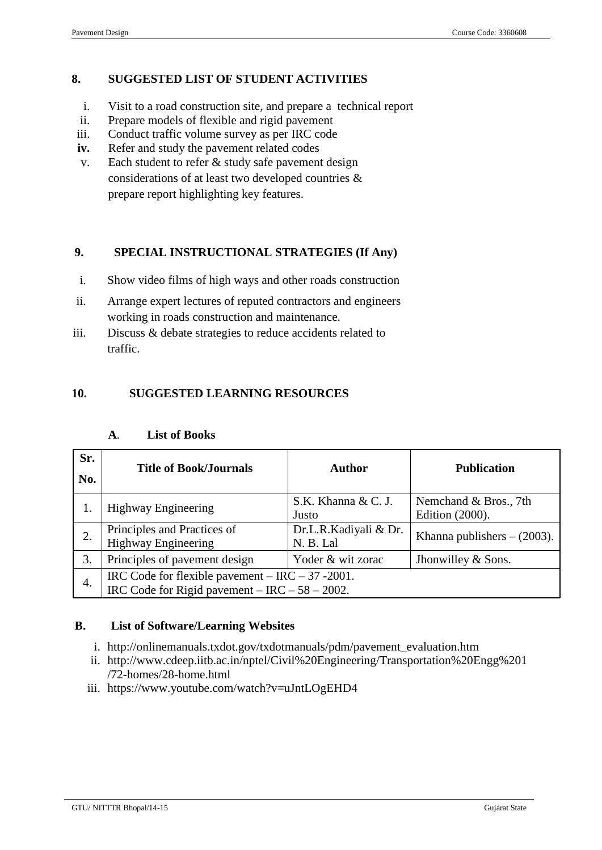# **8. SUGGESTED LIST OF STUDENT ACTIVITIES**

- i. Visit to a road construction site, and prepare a technical report
- ii. Prepare models of flexible and rigid pavement
- iii. Conduct traffic volume survey as per IRC code
- **iv.** Refer and study the pavement related codes
- v. Each student to refer & study safe pavement design considerations of at least two developed countries & prepare report highlighting key features.

# **9. SPECIAL INSTRUCTIONAL STRATEGIES (If Any)**

- i. Show video films of high ways and other roads construction
- ii. Arrange expert lectures of reputed contractors and engineers working in roads construction and maintenance.
- iii. Discuss & debate strategies to reduce accidents related to traffic.

## **10. SUGGESTED LEARNING RESOURCES**

| Sr.<br>No. | <b>Title of Book/Journals</b>                                                                                | Author                             | <b>Publication</b>                       |  |  |  |
|------------|--------------------------------------------------------------------------------------------------------------|------------------------------------|------------------------------------------|--|--|--|
|            | <b>Highway Engineering</b>                                                                                   | S.K. Khanna & C. J.<br>Justo       | Nemchand & Bros., 7th<br>Edition (2000). |  |  |  |
| 2.         | Principles and Practices of<br><b>Highway Engineering</b>                                                    | Dr.L.R.Kadiyali & Dr.<br>N. B. Lal | Khanna publishers $- (2003)$ .           |  |  |  |
| 3.         | Principles of pavement design                                                                                | Yoder & wit zorac                  | Jhonwilley & Sons.                       |  |  |  |
| 4.         | IRC Code for flexible payement $-$ IRC $-$ 37 -2001.<br>IRC Code for Rigid payement $-$ IRC $-$ 58 $-$ 2002. |                                    |                                          |  |  |  |

#### **A**. **List of Books**

## **B. List of Software/Learning Websites**

- i. [http://onlinemanuals.txdot.gov/txdotmanuals/pdm/pavement\\_evaluation.htm](http://onlinemanuals.txdot.gov/txdotmanuals/pdm/pavement_evaluation.htm)
- ii. [http://www.cdeep.iitb.ac.in/nptel/Civil%20Engineering/Transportation%20Engg%201](http://www.cdeep.iitb.ac.in/nptel/Civil%20Engineering/Transportation%20Engg%201/72-homes/28-home.html) [/72-homes/28-home.html](http://www.cdeep.iitb.ac.in/nptel/Civil%20Engineering/Transportation%20Engg%201/72-homes/28-home.html)
- iii. <https://www.youtube.com/watch?v=uJntLOgEHD4>